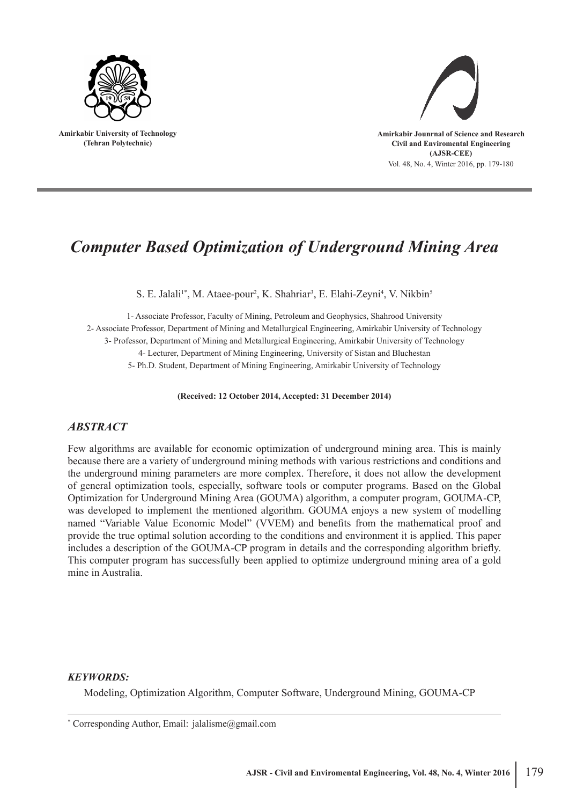

**Amirkabir University of Technology (Tehran Polytechnic)**



#### Vol. 48, No. 4, Winter 2016, pp. 179-180

# *Computer Based Optimization of Underground Mining Area*

S. E. Jalali<sup>1\*</sup>, M. Ataee-pour<sup>2</sup>, K. Shahriar<sup>3</sup>, E. Elahi-Zeyni<sup>4</sup>, V. Nikbin<sup>5</sup>

1- Associate Professor, Faculty of Mining, Petroleum and Geophysics, Shahrood University 2- Associate Professor, Department of Mining and Metallurgical Engineering, Amirkabir University of Technology 3- Professor, Department of Mining and Metallurgical Engineering, Amirkabir University of Technology 4- Lecturer, Department of Mining Engineering, University of Sistan and Bluchestan 5- Ph.D. Student, Department of Mining Engineering, Amirkabir University of Technology

**(Received: 12 October 2014, Accepted: 31 December 2014)**

#### *ABSTRACT*

Few algorithms are available for economic optimization of underground mining area. This is mainly because there are a variety of underground mining methods with various restrictions and conditions and the underground mining parameters are more complex. Therefore, it does not allow the development of general optimization tools, especially, software tools or computer programs. Based on the Global Optimization for Underground Mining Area (GOUMA) algorithm, a computer program, GOUMA-CP, was developed to implement the mentioned algorithm. GOUMA enjoys a new system of modelling named "Variable Value Economic Model" (VVEM) and benefits from the mathematical proof and provide the true optimal solution according to the conditions and environment it is applied. This paper includes a description of the GOUMA-CP program in details and the corresponding algorithm briefly. This computer program has successfully been applied to optimize underground mining area of a gold mine in Australia.

#### *KEYWORDS:*

Modeling, Optimization Algorithm, Computer Software, Underground Mining, GOUMA-CP

<sup>\*</sup> Corresponding Author, Email: jalalisme@gmail.com